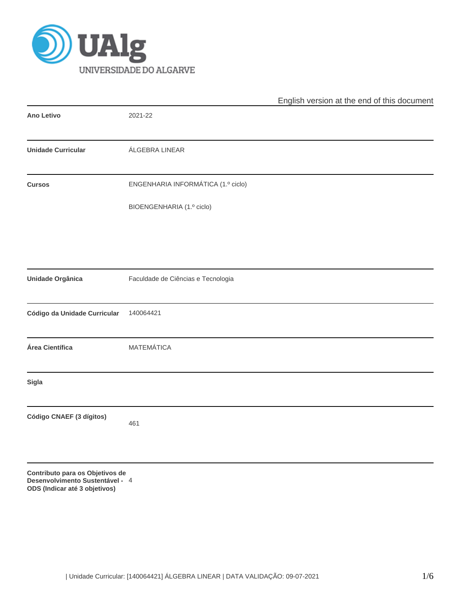

|                                                                                                     |                                    | English version at the end of this document |
|-----------------------------------------------------------------------------------------------------|------------------------------------|---------------------------------------------|
| <b>Ano Letivo</b>                                                                                   | 2021-22                            |                                             |
| <b>Unidade Curricular</b>                                                                           | ÁLGEBRA LINEAR                     |                                             |
| <b>Cursos</b>                                                                                       | ENGENHARIA INFORMÁTICA (1.º ciclo) |                                             |
|                                                                                                     | BIOENGENHARIA (1.º ciclo)          |                                             |
|                                                                                                     |                                    |                                             |
| <b>Unidade Orgânica</b>                                                                             | Faculdade de Ciências e Tecnologia |                                             |
| Código da Unidade Curricular                                                                        | 140064421                          |                                             |
| Área Científica                                                                                     | <b>MATEMÁTICA</b>                  |                                             |
| Sigla                                                                                               |                                    |                                             |
| Código CNAEF (3 dígitos)                                                                            | 461                                |                                             |
| Contributo para os Objetivos de<br>Desenvolvimento Sustentável - 4<br>ODS (Indicar até 3 objetivos) |                                    |                                             |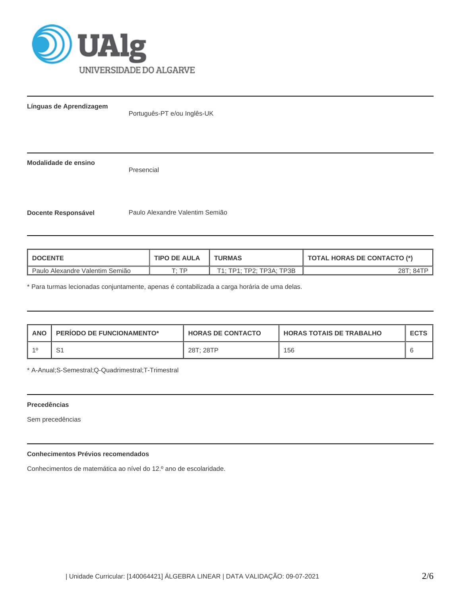

**Línguas de Aprendizagem**

Português-PT e/ou Inglês-UK

**Modalidade de ensino**

Presencial

**Docente Responsável** Paulo Alexandre Valentim Semião

| <b>DOCENTE</b>                  | <b>TIPO DE AULA</b> | <b>TURMAS</b>            | <b>TOTAL HORAS DE CONTACTO (*)</b> |  |  |
|---------------------------------|---------------------|--------------------------|------------------------------------|--|--|
| Paulo Alexandre Valentim Semião | г. то               | T1; TP1; TP2; TP3A; TP3B | 28T: 84TP                          |  |  |

\* Para turmas lecionadas conjuntamente, apenas é contabilizada a carga horária de uma delas.

| <b>ANO</b> | <b>PERIODO DE FUNCIONAMENTO*</b> | <b>HORAS DE CONTACTO</b> | <b>HORAS TOTAIS DE TRABALHO</b> | <b>ECTS</b> |
|------------|----------------------------------|--------------------------|---------------------------------|-------------|
| -40        | ا ب                              | 28T: 28TP                | 156                             |             |

\* A-Anual;S-Semestral;Q-Quadrimestral;T-Trimestral

# **Precedências**

Sem precedências

# **Conhecimentos Prévios recomendados**

Conhecimentos de matemática ao nível do 12.º ano de escolaridade.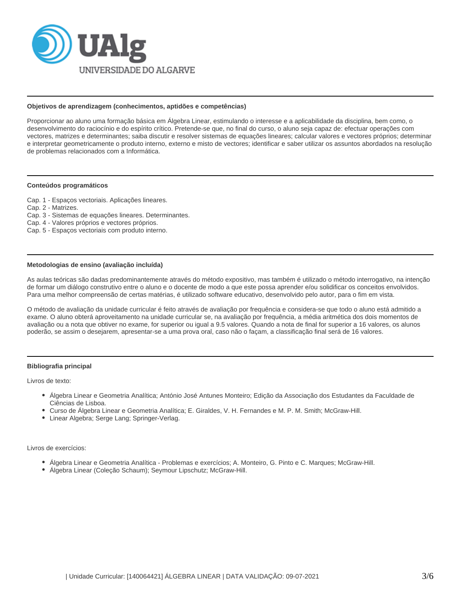

#### **Objetivos de aprendizagem (conhecimentos, aptidões e competências)**

Proporcionar ao aluno uma formação básica em Álgebra Linear, estimulando o interesse e a aplicabilidade da disciplina, bem como, o desenvolvimento do raciocínio e do espírito crítico. Pretende-se que, no final do curso, o aluno seja capaz de: efectuar operações com vectores, matrizes e determinantes; saiba discutir e resolver sistemas de equações lineares; calcular valores e vectores próprios; determinar e interpretar geometricamente o produto interno, externo e misto de vectores; identificar e saber utilizar os assuntos abordados na resolução de problemas relacionados com a Informática.

#### **Conteúdos programáticos**

- Cap. 1 Espaços vectoriais. Aplicações lineares.
- Cap. 2 Matrizes.
- Cap. 3 Sistemas de equações lineares. Determinantes.
- Cap. 4 Valores próprios e vectores próprios.
- Cap. 5 Espaços vectoriais com produto interno.

### **Metodologias de ensino (avaliação incluída)**

As aulas teóricas são dadas predominantemente através do método expositivo, mas também é utilizado o método interrogativo, na intenção de formar um diálogo construtivo entre o aluno e o docente de modo a que este possa aprender e/ou solidificar os conceitos envolvidos. Para uma melhor compreensão de certas matérias, é utilizado software educativo, desenvolvido pelo autor, para o fim em vista.

O método de avaliação da unidade curricular é feito através de avaliação por frequência e considera-se que todo o aluno está admitido a exame. O aluno obterá aproveitamento na unidade curricular se, na avaliação por frequência, a média aritmética dos dois momentos de avaliação ou a nota que obtiver no exame, for superior ou igual a 9.5 valores. Quando a nota de final for superior a 16 valores, os alunos poderão, se assim o desejarem, apresentar-se a uma prova oral, caso não o façam, a classificação final será de 16 valores.

## **Bibliografia principal**

Livros de texto:

- Álgebra Linear e Geometria Analítica; António José Antunes Monteiro; Edição da Associação dos Estudantes da Faculdade de Ciências de Lisboa.
- Curso de Álgebra Linear e Geometria Analítica; E. Giraldes, V. H. Fernandes e M. P. M. Smith; McGraw-Hill.
- Linear Algebra; Serge Lang; Springer-Verlag.

#### Livros de exercícios:

- Álgebra Linear e Geometria Analítica Problemas e exercícios; A. Monteiro, G. Pinto e C. Marques; McGraw-Hill.
- Álgebra Linear (Coleção Schaum); Seymour Lipschutz; McGraw-Hill.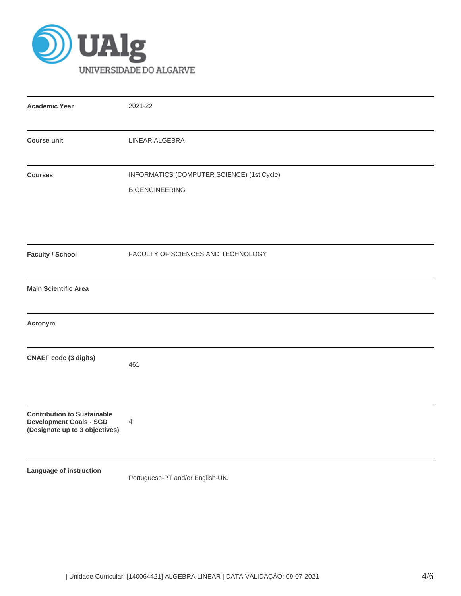

| <b>Academic Year</b>                                                                                   | 2021-22                                                             |  |  |  |  |
|--------------------------------------------------------------------------------------------------------|---------------------------------------------------------------------|--|--|--|--|
| <b>Course unit</b>                                                                                     | LINEAR ALGEBRA                                                      |  |  |  |  |
| <b>Courses</b>                                                                                         | INFORMATICS (COMPUTER SCIENCE) (1st Cycle)<br><b>BIOENGINEERING</b> |  |  |  |  |
| <b>Faculty / School</b>                                                                                | FACULTY OF SCIENCES AND TECHNOLOGY                                  |  |  |  |  |
| <b>Main Scientific Area</b>                                                                            |                                                                     |  |  |  |  |
| Acronym                                                                                                |                                                                     |  |  |  |  |
| <b>CNAEF</b> code (3 digits)                                                                           | 461                                                                 |  |  |  |  |
| <b>Contribution to Sustainable</b><br><b>Development Goals - SGD</b><br>(Designate up to 3 objectives) | 4                                                                   |  |  |  |  |
| Language of instruction                                                                                | Portuguese-PT and/or English-UK.                                    |  |  |  |  |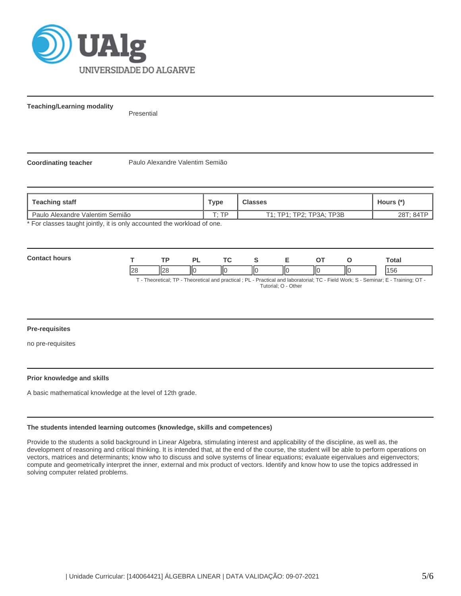

**Teaching/Learning modality**

Presential

**Coordinating teacher** Paulo Alexandre Valentim Semião

| Teaching staff                                                        | Type  | <b>Classes</b>           | Hours (*) |  |  |  |
|-----------------------------------------------------------------------|-------|--------------------------|-----------|--|--|--|
| <b>I</b> Paulo Alexandre Valentim Semião                              | T. TD | T1: TP1: TP2: TP3A: TP3B | 28T: 84TP |  |  |  |
| * For classes taught jointly it is only accounted the workload of one |       |                          |           |  |  |  |

or classes taught jointly, it is only accounted the workload of one.

| Con<br>יוור | -           |     | œ  | <b>Trea</b> |    | -  |    |    | Total |
|-------------|-------------|-----|----|-------------|----|----|----|----|-------|
|             | $\sim$<br>~ | ⊶וו | ШC |             | ШΟ | IІ | НΟ | ШC | AET   |

T - Theoretical; TP - Theoretical and practical ; PL - Practical and laboratorial; TC - Field Work; S - Seminar; E - Training; OT - Tutorial; O - Other

# **Pre-requisites**

no pre-requisites

# **Prior knowledge and skills**

A basic mathematical knowledge at the level of 12th grade.

### **The students intended learning outcomes (knowledge, skills and competences)**

Provide to the students a solid background in Linear Algebra, stimulating interest and applicability of the discipline, as well as, the development of reasoning and critical thinking. It is intended that, at the end of the course, the student will be able to perform operations on vectors, matrices and determinants; know who to discuss and solve systems of linear equations; evaluate eigenvalues and eigenvectors; compute and geometrically interpret the inner, external and mix product of vectors. Identify and know how to use the topics addressed in solving computer related problems.